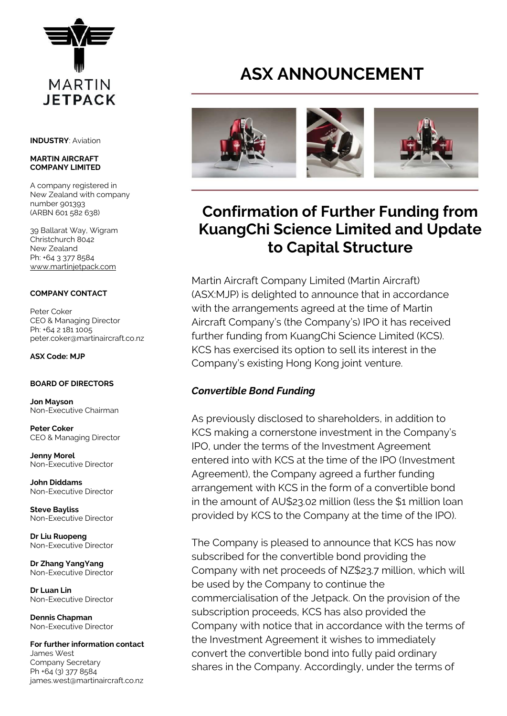

**INDUSTRY**: Aviation

#### **MARTIN AIRCRAFT COMPANY LIMITED**

A company registered in New Zealand with company number 901393 (ARBN 601 582 638)

39 Ballarat Way, Wigram Christchurch 8042 New Zealand Ph: +64 3 377 8584 [www.martinjetpack.com](http://www.martinjetpack.com/)

#### **COMPANY CONTACT**

Peter Coker CEO & Managing Director Ph: +64 2 181 1005 peter.coker@martinaircraft.co.nz

**ASX Code: MJP**

#### **BOARD OF DIRECTORS**

**Jon Mayson**  Non-Executive Chairman

**Peter Coker**  CEO & Managing Director

**Jenny Morel**  Non-Executive Director

**John Diddams**  Non-Executive Director

**Steve Bayliss** Non-Executive Director

**Dr Liu Ruopeng**  Non-Executive Director

**Dr Zhang YangYang**  Non-Executive Director

**Dr Luan Lin** Non-Executive Director

**Dennis Chapman** Non-Executive Director

**For further information contact** James West Company Secretary Ph +64 (3) 377 8584 james.west@martinaircraft.co.nz

# **ASX ANNOUNCEMENT**



## **Confirmation of Further Funding from KuangChi Science Limited and Update to Capital Structure**

Martin Aircraft Company Limited (Martin Aircraft) (ASX:MJP) is delighted to announce that in accordance with the arrangements agreed at the time of Martin Aircraft Company's (the Company's) IPO it has received further funding from KuangChi Science Limited (KCS). KCS has exercised its option to sell its interest in the Company's existing Hong Kong joint venture.

### *Convertible Bond Funding*

As previously disclosed to shareholders, in addition to KCS making a cornerstone investment in the Company's IPO, under the terms of the Investment Agreement entered into with KCS at the time of the IPO (Investment Agreement), the Company agreed a further funding arrangement with KCS in the form of a convertible bond in the amount of AU\$23.02 million (less the \$1 million loan provided by KCS to the Company at the time of the IPO).

The Company is pleased to announce that KCS has now subscribed for the convertible bond providing the Company with net proceeds of NZ\$23.7 million, which will be used by the Company to continue the commercialisation of the Jetpack. On the provision of the subscription proceeds, KCS has also provided the Company with notice that in accordance with the terms of the Investment Agreement it wishes to immediately convert the convertible bond into fully paid ordinary shares in the Company. Accordingly, under the terms of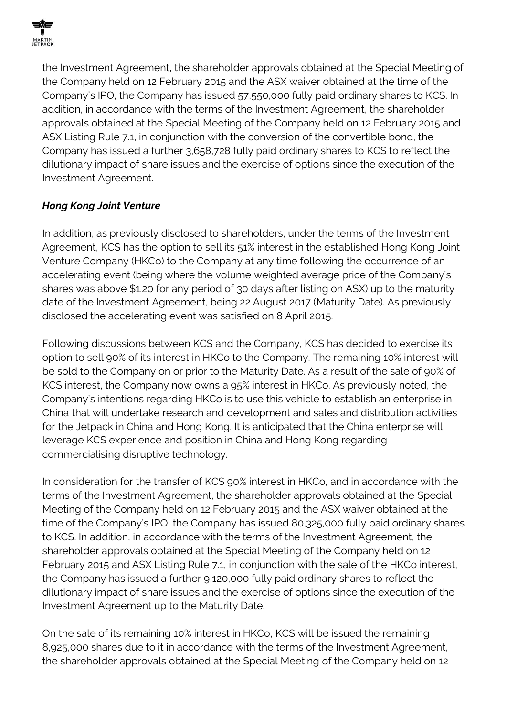

the Investment Agreement, the shareholder approvals obtained at the Special Meeting of the Company held on 12 February 2015 and the ASX waiver obtained at the time of the Company's IPO, the Company has issued 57,550,000 fully paid ordinary shares to KCS. In addition, in accordance with the terms of the Investment Agreement, the shareholder approvals obtained at the Special Meeting of the Company held on 12 February 2015 and ASX Listing Rule 7.1, in conjunction with the conversion of the convertible bond, the Company has issued a further 3,658,728 fully paid ordinary shares to KCS to reflect the dilutionary impact of share issues and the exercise of options since the execution of the Investment Agreement.

## *Hong Kong Joint Venture*

In addition, as previously disclosed to shareholders, under the terms of the Investment Agreement, KCS has the option to sell its 51% interest in the established Hong Kong Joint Venture Company (HKCo) to the Company at any time following the occurrence of an accelerating event (being where the volume weighted average price of the Company's shares was above \$1.20 for any period of 30 days after listing on ASX) up to the maturity date of the Investment Agreement, being 22 August 2017 (Maturity Date). As previously disclosed the accelerating event was satisfied on 8 April 2015.

Following discussions between KCS and the Company, KCS has decided to exercise its option to sell 90% of its interest in HKCo to the Company. The remaining 10% interest will be sold to the Company on or prior to the Maturity Date. As a result of the sale of 90% of KCS interest, the Company now owns a 95% interest in HKCo. As previously noted, the Company's intentions regarding HKCo is to use this vehicle to establish an enterprise in China that will undertake research and development and sales and distribution activities for the Jetpack in China and Hong Kong. It is anticipated that the China enterprise will leverage KCS experience and position in China and Hong Kong regarding commercialising disruptive technology.

In consideration for the transfer of KCS 90% interest in HKCo, and in accordance with the terms of the Investment Agreement, the shareholder approvals obtained at the Special Meeting of the Company held on 12 February 2015 and the ASX waiver obtained at the time of the Company's IPO, the Company has issued 80,325,000 fully paid ordinary shares to KCS. In addition, in accordance with the terms of the Investment Agreement, the shareholder approvals obtained at the Special Meeting of the Company held on 12 February 2015 and ASX Listing Rule 7.1, in conjunction with the sale of the HKCo interest, the Company has issued a further 9,120,000 fully paid ordinary shares to reflect the dilutionary impact of share issues and the exercise of options since the execution of the Investment Agreement up to the Maturity Date.

On the sale of its remaining 10% interest in HKCo, KCS will be issued the remaining 8,925,000 shares due to it in accordance with the terms of the Investment Agreement, the shareholder approvals obtained at the Special Meeting of the Company held on 12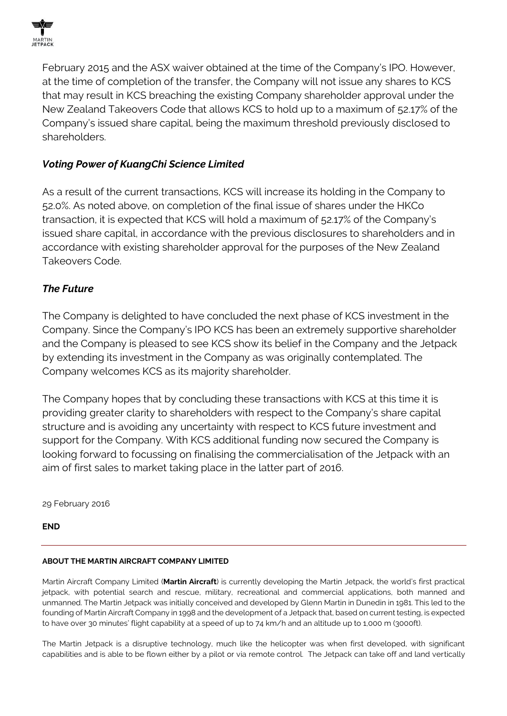

February 2015 and the ASX waiver obtained at the time of the Company's IPO. However, at the time of completion of the transfer, the Company will not issue any shares to KCS that may result in KCS breaching the existing Company shareholder approval under the New Zealand Takeovers Code that allows KCS to hold up to a maximum of 52.17% of the Company's issued share capital, being the maximum threshold previously disclosed to shareholders.

## *Voting Power of KuangChi Science Limited*

As a result of the current transactions, KCS will increase its holding in the Company to 52.0%. As noted above, on completion of the final issue of shares under the HKCo transaction, it is expected that KCS will hold a maximum of 52.17% of the Company's issued share capital, in accordance with the previous disclosures to shareholders and in accordance with existing shareholder approval for the purposes of the New Zealand Takeovers Code.

## *The Future*

The Company is delighted to have concluded the next phase of KCS investment in the Company. Since the Company's IPO KCS has been an extremely supportive shareholder and the Company is pleased to see KCS show its belief in the Company and the Jetpack by extending its investment in the Company as was originally contemplated. The Company welcomes KCS as its majority shareholder.

The Company hopes that by concluding these transactions with KCS at this time it is providing greater clarity to shareholders with respect to the Company's share capital structure and is avoiding any uncertainty with respect to KCS future investment and support for the Company. With KCS additional funding now secured the Company is looking forward to focussing on finalising the commercialisation of the Jetpack with an aim of first sales to market taking place in the latter part of 2016.

29 February 2016

**END**

#### **ABOUT THE MARTIN AIRCRAFT COMPANY LIMITED**

Martin Aircraft Company Limited (**Martin Aircraft**) is currently developing the Martin Jetpack, the world's first practical jetpack, with potential search and rescue, military, recreational and commercial applications, both manned and unmanned. The Martin Jetpack was initially conceived and developed by Glenn Martin in Dunedin in 1981. This led to the founding of Martin Aircraft Company in 1998 and the development of a Jetpack that, based on current testing, is expected to have over 30 minutes' flight capability at a speed of up to 74 km/h and an altitude up to 1,000 m (3000ft).

The Martin Jetpack is a disruptive technology, much like the helicopter was when first developed, with significant capabilities and is able to be flown either by a pilot or via remote control. The Jetpack can take off and land vertically